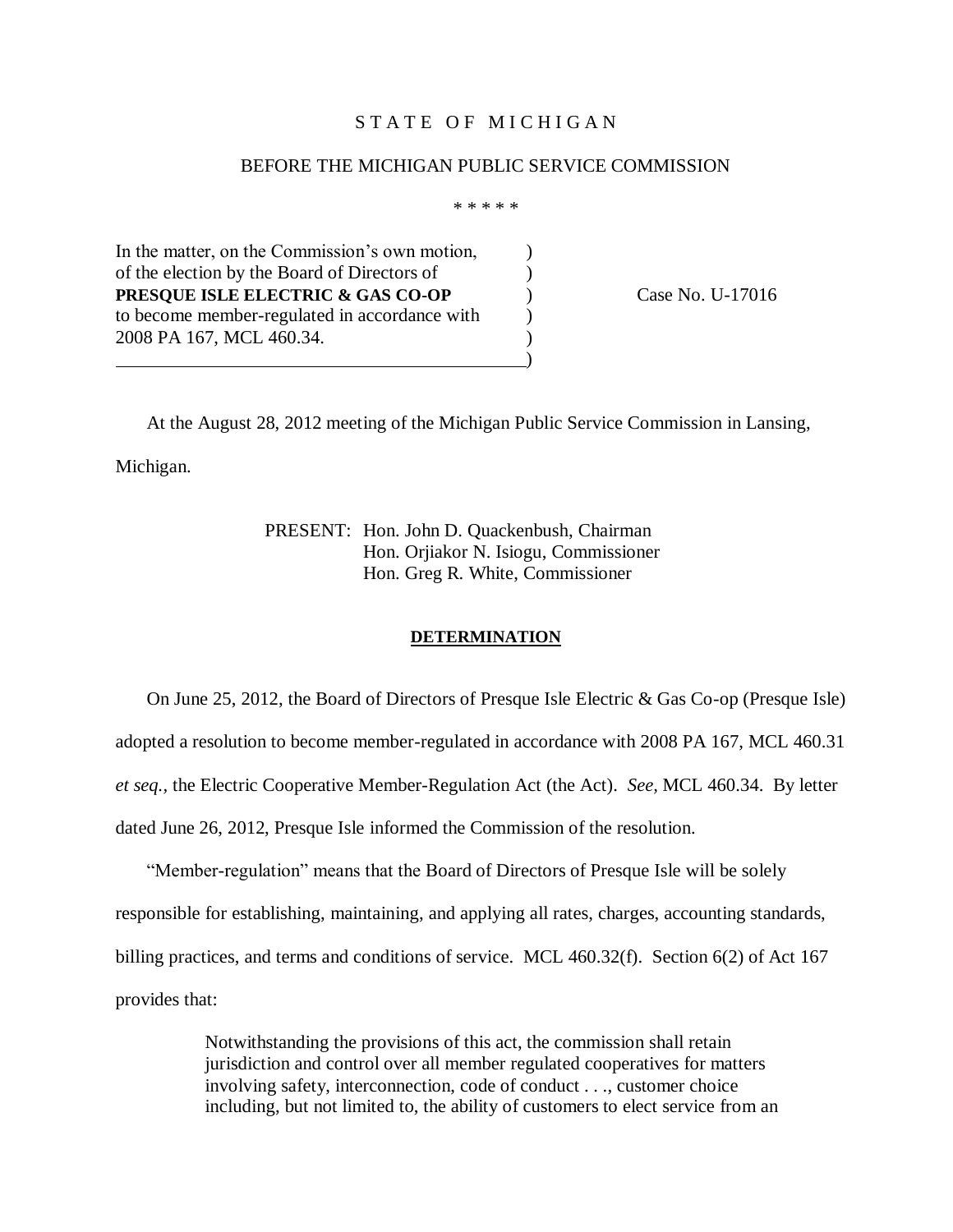## STATE OF MICHIGAN

### BEFORE THE MICHIGAN PUBLIC SERVICE COMMISSION

\* \* \* \* \*

In the matter, on the Commission's own motion, of the election by the Board of Directors of ) **PRESQUE ISLE ELECTRIC & GAS CO-OP** Case No. U-17016 to become member-regulated in accordance with  $\qquad)$ 2008 PA 167, MCL 460.34. )  $\hspace{1.5cm}$  ) and the contract of the contract of the contract of the contract of the contract of the contract of the contract of the contract of the contract of the contract of the contract of the contract of the contrac

At the August 28, 2012 meeting of the Michigan Public Service Commission in Lansing, Michigan.

> PRESENT: Hon. John D. Quackenbush, Chairman Hon. Orjiakor N. Isiogu, Commissioner Hon. Greg R. White, Commissioner

#### **DETERMINATION**

On June 25, 2012, the Board of Directors of Presque Isle Electric & Gas Co-op (Presque Isle) adopted a resolution to become member-regulated in accordance with 2008 PA 167, MCL 460.31 *et seq.,* the Electric Cooperative Member-Regulation Act (the Act). *See,* MCL 460.34. By letter dated June 26, 2012, Presque Isle informed the Commission of the resolution.

"Member-regulation" means that the Board of Directors of Presque Isle will be solely responsible for establishing, maintaining, and applying all rates, charges, accounting standards, billing practices, and terms and conditions of service. MCL 460.32(f). Section 6(2) of Act 167 provides that:

> Notwithstanding the provisions of this act, the commission shall retain jurisdiction and control over all member regulated cooperatives for matters involving safety, interconnection, code of conduct . . ., customer choice including, but not limited to, the ability of customers to elect service from an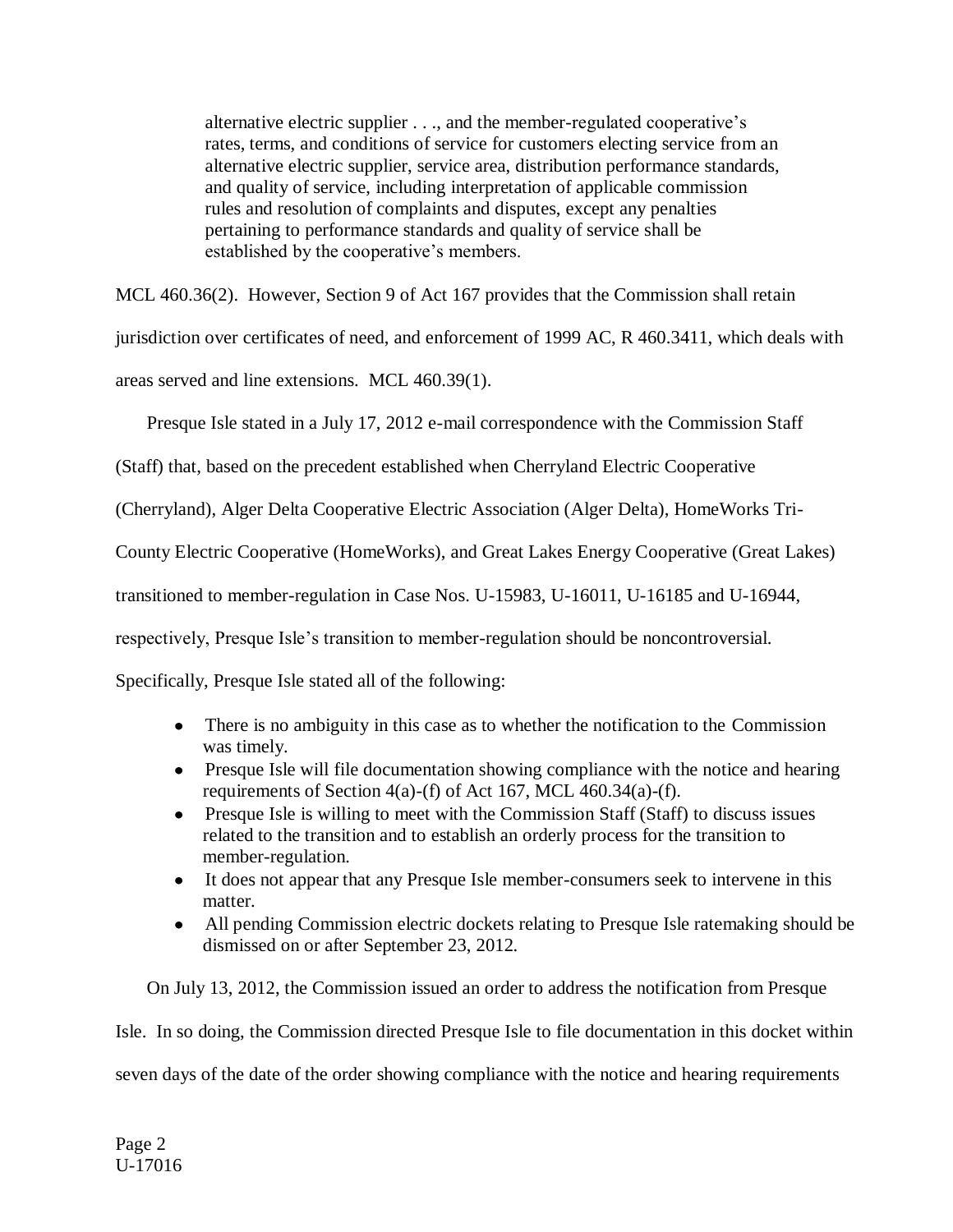alternative electric supplier . . ., and the member-regulated cooperative's rates, terms, and conditions of service for customers electing service from an alternative electric supplier, service area, distribution performance standards, and quality of service, including interpretation of applicable commission rules and resolution of complaints and disputes, except any penalties pertaining to performance standards and quality of service shall be established by the cooperative's members.

MCL 460.36(2). However, Section 9 of Act 167 provides that the Commission shall retain

jurisdiction over certificates of need, and enforcement of 1999 AC, R 460.3411, which deals with

areas served and line extensions. MCL 460.39(1).

Presque Isle stated in a July 17, 2012 e-mail correspondence with the Commission Staff

(Staff) that, based on the precedent established when Cherryland Electric Cooperative

(Cherryland), Alger Delta Cooperative Electric Association (Alger Delta), HomeWorks Tri-

County Electric Cooperative (HomeWorks), and Great Lakes Energy Cooperative (Great Lakes)

transitioned to member-regulation in Case Nos. U-15983, U-16011, U-16185 and U-16944,

respectively, Presque Isle's transition to member-regulation should be noncontroversial.

Specifically, Presque Isle stated all of the following:

- There is no ambiguity in this case as to whether the notification to the Commission was timely.
- Presque Isle will file documentation showing compliance with the notice and hearing requirements of Section  $4(a)$ -(f) of Act 167, MCL  $460.34(a)$ -(f).
- Presque Isle is willing to meet with the Commission Staff (Staff) to discuss issues related to the transition and to establish an orderly process for the transition to member-regulation.
- It does not appear that any Presque Isle member-consumers seek to intervene in this matter.
- All pending Commission electric dockets relating to Presque Isle ratemaking should be dismissed on or after September 23, 2012.

On July 13, 2012, the Commission issued an order to address the notification from Presque Isle. In so doing, the Commission directed Presque Isle to file documentation in this docket within seven days of the date of the order showing compliance with the notice and hearing requirements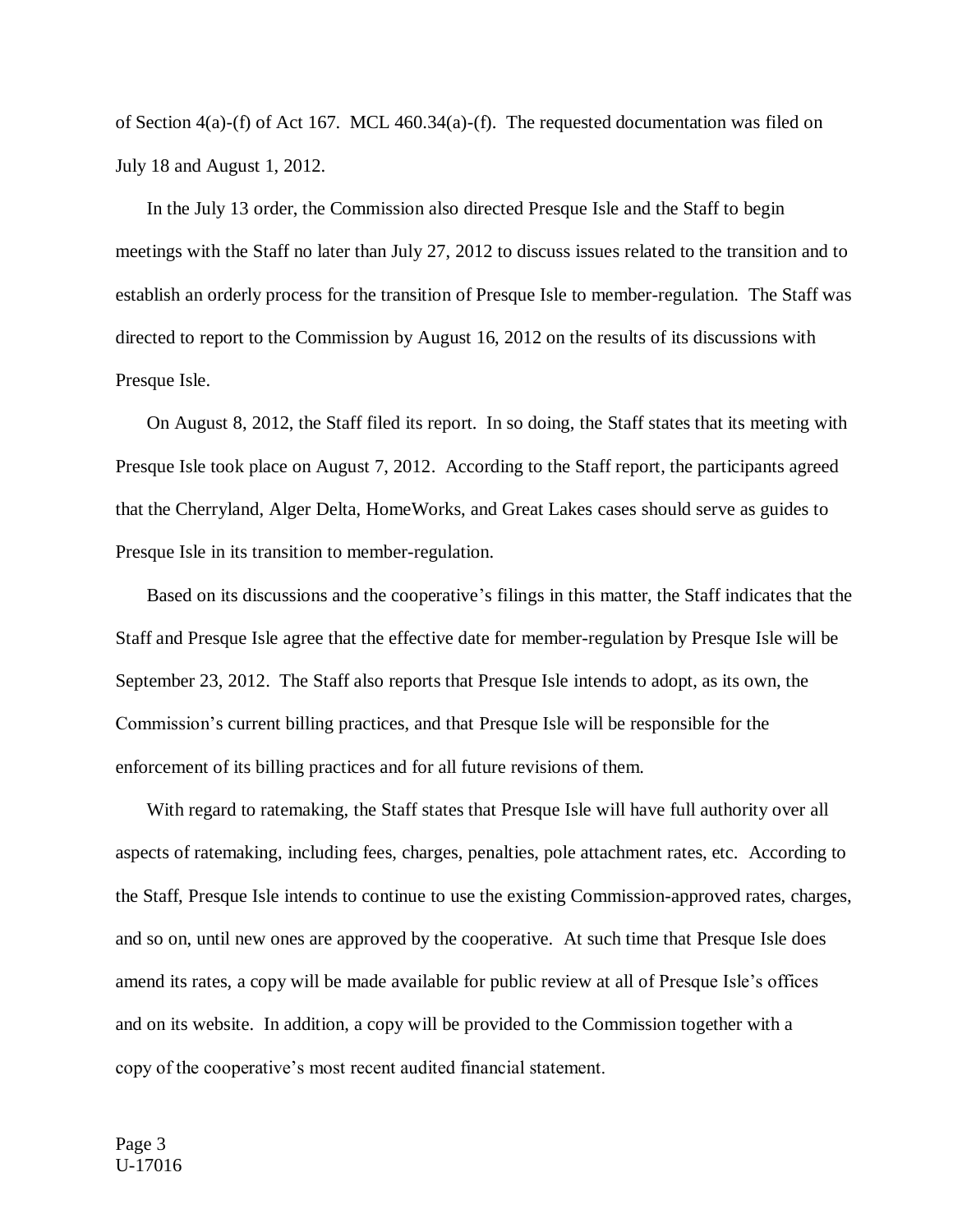of Section 4(a)-(f) of Act 167. MCL 460.34(a)-(f). The requested documentation was filed on July 18 and August 1, 2012.

In the July 13 order, the Commission also directed Presque Isle and the Staff to begin meetings with the Staff no later than July 27, 2012 to discuss issues related to the transition and to establish an orderly process for the transition of Presque Isle to member-regulation. The Staff was directed to report to the Commission by August 16, 2012 on the results of its discussions with Presque Isle.

On August 8, 2012, the Staff filed its report. In so doing, the Staff states that its meeting with Presque Isle took place on August 7, 2012. According to the Staff report, the participants agreed that the Cherryland, Alger Delta, HomeWorks, and Great Lakes cases should serve as guides to Presque Isle in its transition to member-regulation.

Based on its discussions and the cooperative's filings in this matter, the Staff indicates that the Staff and Presque Isle agree that the effective date for member-regulation by Presque Isle will be September 23, 2012. The Staff also reports that Presque Isle intends to adopt, as its own, the Commission's current billing practices, and that Presque Isle will be responsible for the enforcement of its billing practices and for all future revisions of them.

With regard to ratemaking, the Staff states that Presque Isle will have full authority over all aspects of ratemaking, including fees, charges, penalties, pole attachment rates, etc. According to the Staff, Presque Isle intends to continue to use the existing Commission-approved rates, charges, and so on, until new ones are approved by the cooperative. At such time that Presque Isle does amend its rates, a copy will be made available for public review at all of Presque Isle's offices and on its website. In addition, a copy will be provided to the Commission together with a copy of the cooperative's most recent audited financial statement.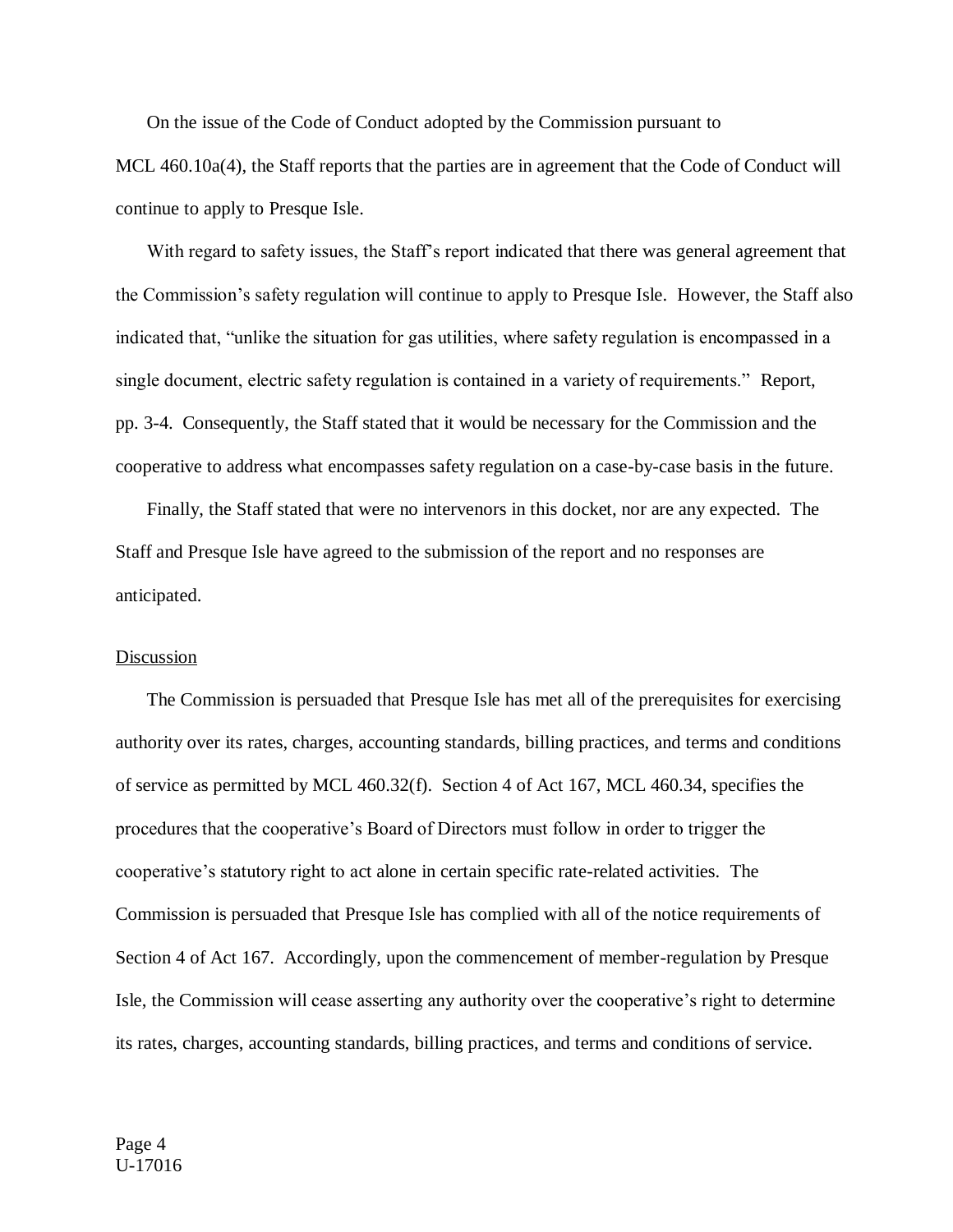On the issue of the Code of Conduct adopted by the Commission pursuant to MCL 460.10a(4), the Staff reports that the parties are in agreement that the Code of Conduct will continue to apply to Presque Isle.

With regard to safety issues, the Staff's report indicated that there was general agreement that the Commission's safety regulation will continue to apply to Presque Isle. However, the Staff also indicated that, "unlike the situation for gas utilities, where safety regulation is encompassed in a single document, electric safety regulation is contained in a variety of requirements." Report, pp. 3-4. Consequently, the Staff stated that it would be necessary for the Commission and the cooperative to address what encompasses safety regulation on a case-by-case basis in the future.

Finally, the Staff stated that were no intervenors in this docket, nor are any expected. The Staff and Presque Isle have agreed to the submission of the report and no responses are anticipated.

#### Discussion

The Commission is persuaded that Presque Isle has met all of the prerequisites for exercising authority over its rates, charges, accounting standards, billing practices, and terms and conditions of service as permitted by MCL 460.32(f). Section 4 of Act 167, MCL 460.34, specifies the procedures that the cooperative's Board of Directors must follow in order to trigger the cooperative's statutory right to act alone in certain specific rate-related activities. The Commission is persuaded that Presque Isle has complied with all of the notice requirements of Section 4 of Act 167. Accordingly, upon the commencement of member-regulation by Presque Isle, the Commission will cease asserting any authority over the cooperative's right to determine its rates, charges, accounting standards, billing practices, and terms and conditions of service.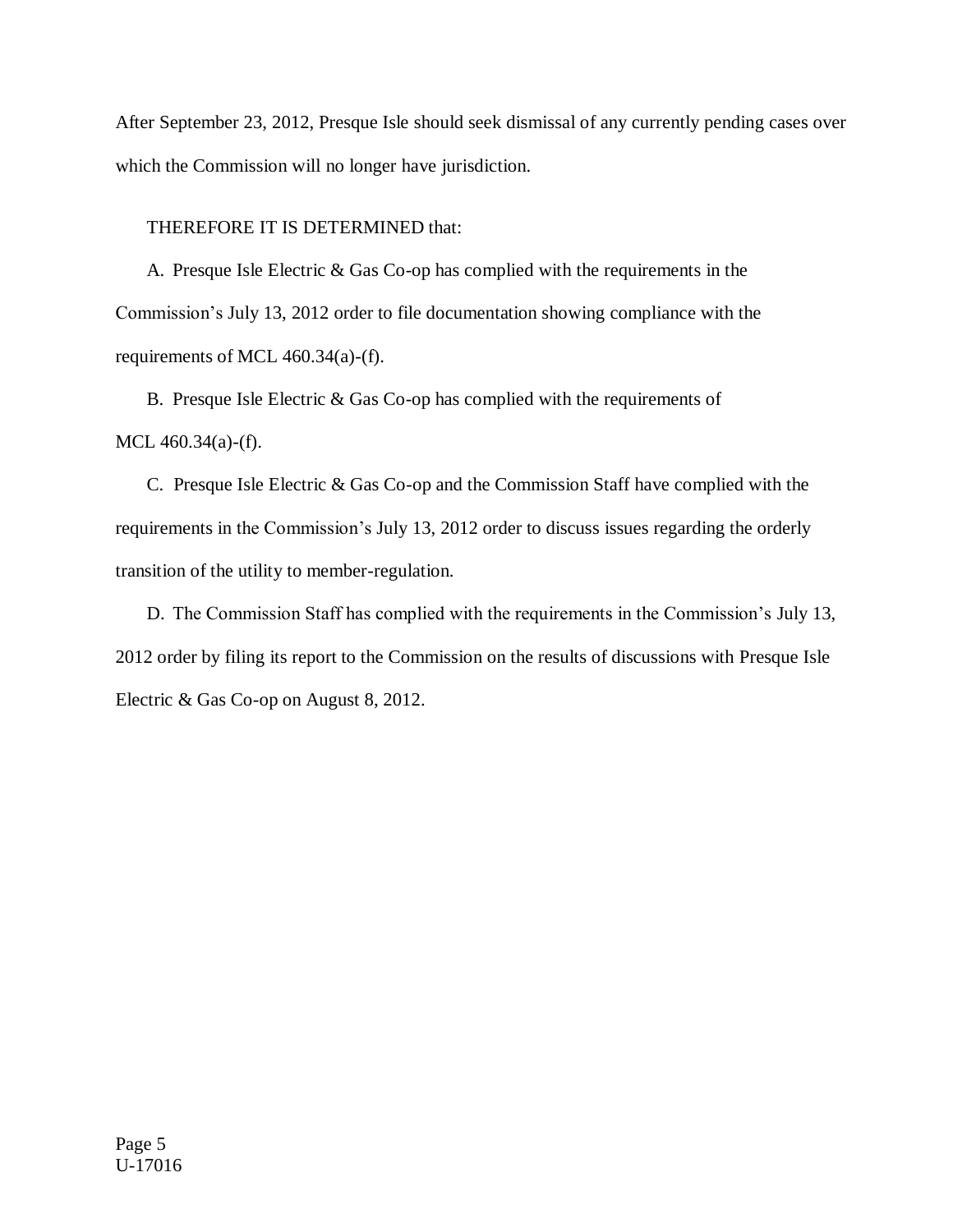After September 23, 2012, Presque Isle should seek dismissal of any currently pending cases over which the Commission will no longer have jurisdiction.

THEREFORE IT IS DETERMINED that:

A. Presque Isle Electric & Gas Co-op has complied with the requirements in the Commission's July 13, 2012 order to file documentation showing compliance with the requirements of MCL 460.34(a)-(f).

B. Presque Isle Electric & Gas Co-op has complied with the requirements of MCL 460.34(a)-(f).

C. Presque Isle Electric & Gas Co-op and the Commission Staff have complied with the requirements in the Commission's July 13, 2012 order to discuss issues regarding the orderly transition of the utility to member-regulation.

D. The Commission Staff has complied with the requirements in the Commission's July 13, 2012 order by filing its report to the Commission on the results of discussions with Presque Isle Electric & Gas Co-op on August 8, 2012.